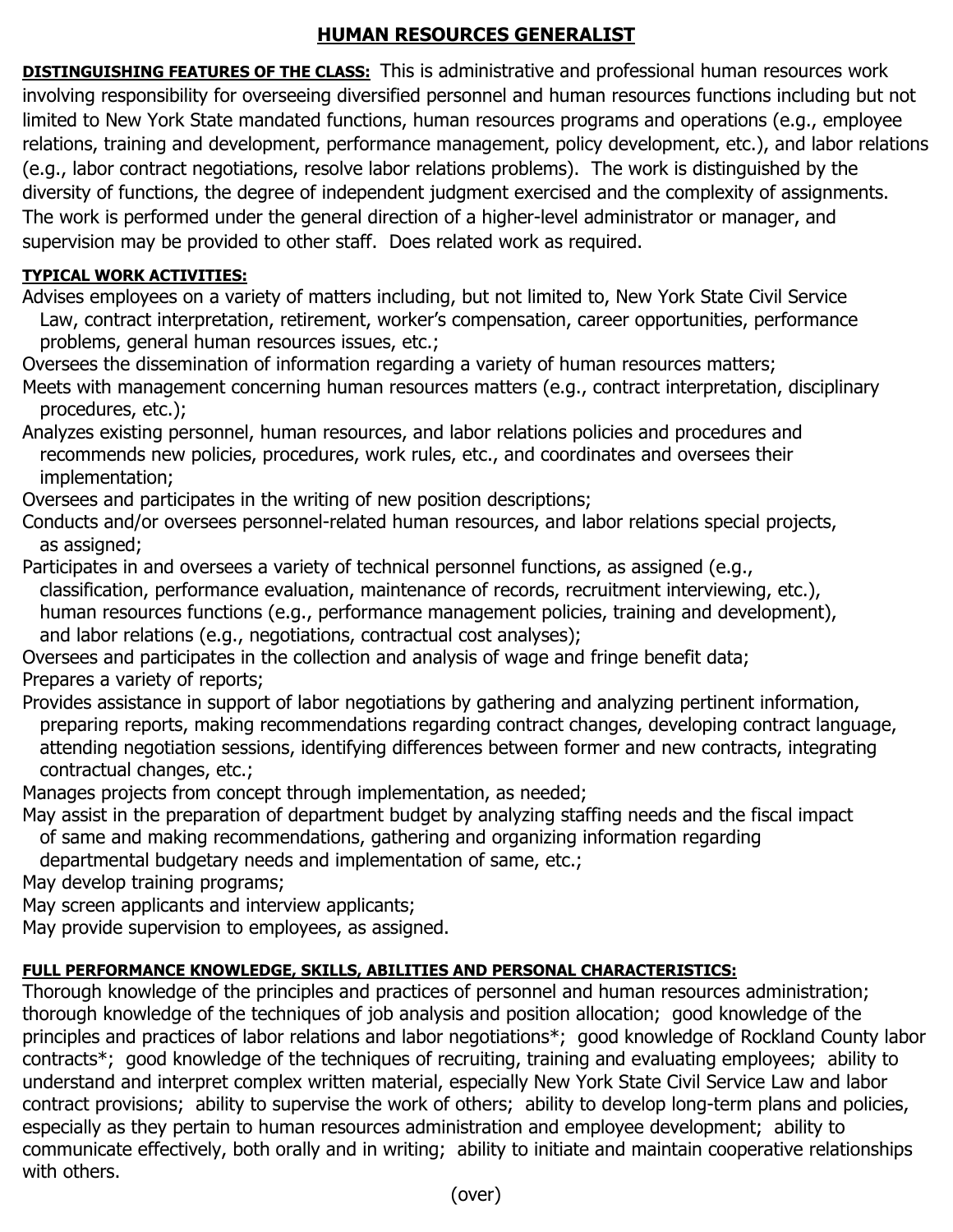## **HUMAN RESOURCES GENERALIST**

**DISTINGUISHING FEATURES OF THE CLASS:** This is administrative and professional human resources work involving responsibility for overseeing diversified personnel and human resources functions including but not limited to New York State mandated functions, human resources programs and operations (e.g., employee relations, training and development, performance management, policy development, etc.), and labor relations (e.g., labor contract negotiations, resolve labor relations problems). The work is distinguished by the diversity of functions, the degree of independent judgment exercised and the complexity of assignments. The work is performed under the general direction of a higher-level administrator or manager, and supervision may be provided to other staff. Does related work as required.

## **TYPICAL WORK ACTIVITIES:**

Advises employees on a variety of matters including, but not limited to, New York State Civil Service Law, contract interpretation, retirement, worker's compensation, career opportunities, performance problems, general human resources issues, etc.;

Oversees the dissemination of information regarding a variety of human resources matters;

Meets with management concerning human resources matters (e.g., contract interpretation, disciplinary procedures, etc.);

Analyzes existing personnel, human resources, and labor relations policies and procedures and recommends new policies, procedures, work rules, etc., and coordinates and oversees their implementation;

Oversees and participates in the writing of new position descriptions;

Conducts and/or oversees personnel-related human resources, and labor relations special projects, as assigned;

Participates in and oversees a variety of technical personnel functions, as assigned (e.g., classification, performance evaluation, maintenance of records, recruitment interviewing, etc.), human resources functions (e.g., performance management policies, training and development), and labor relations (e.g., negotiations, contractual cost analyses);

Oversees and participates in the collection and analysis of wage and fringe benefit data; Prepares a variety of reports;

Provides assistance in support of labor negotiations by gathering and analyzing pertinent information, preparing reports, making recommendations regarding contract changes, developing contract language, attending negotiation sessions, identifying differences between former and new contracts, integrating contractual changes, etc.;

Manages projects from concept through implementation, as needed;

May assist in the preparation of department budget by analyzing staffing needs and the fiscal impact of same and making recommendations, gathering and organizing information regarding departmental budgetary needs and implementation of same, etc.;

May develop training programs;

May screen applicants and interview applicants;

May provide supervision to employees, as assigned.

## **FULL PERFORMANCE KNOWLEDGE, SKILLS, ABILITIES AND PERSONAL CHARACTERISTICS:**

Thorough knowledge of the principles and practices of personnel and human resources administration; thorough knowledge of the techniques of job analysis and position allocation; good knowledge of the principles and practices of labor relations and labor negotiations\*; good knowledge of Rockland County labor contracts\*; good knowledge of the techniques of recruiting, training and evaluating employees; ability to understand and interpret complex written material, especially New York State Civil Service Law and labor contract provisions; ability to supervise the work of others; ability to develop long-term plans and policies, especially as they pertain to human resources administration and employee development; ability to communicate effectively, both orally and in writing; ability to initiate and maintain cooperative relationships with others.